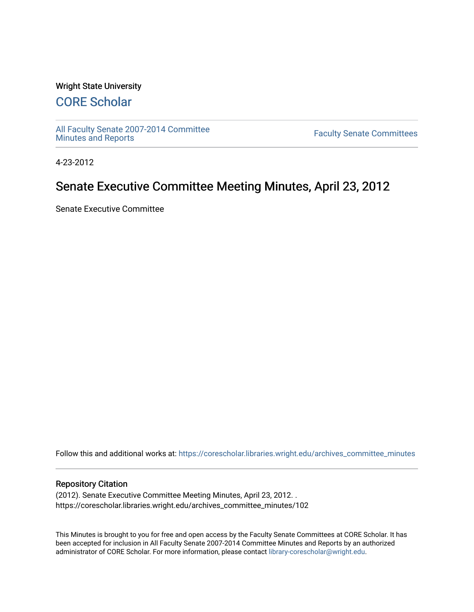### Wright State University

# [CORE Scholar](https://corescholar.libraries.wright.edu/)

[All Faculty Senate 2007-2014 Committee](https://corescholar.libraries.wright.edu/archives_committee_minutes)

**Faculty Senate Committees** 

4-23-2012

## Senate Executive Committee Meeting Minutes, April 23, 2012

Senate Executive Committee

Follow this and additional works at: [https://corescholar.libraries.wright.edu/archives\\_committee\\_minutes](https://corescholar.libraries.wright.edu/archives_committee_minutes?utm_source=corescholar.libraries.wright.edu%2Farchives_committee_minutes%2F102&utm_medium=PDF&utm_campaign=PDFCoverPages) 

#### Repository Citation

(2012). Senate Executive Committee Meeting Minutes, April 23, 2012. . https://corescholar.libraries.wright.edu/archives\_committee\_minutes/102

This Minutes is brought to you for free and open access by the Faculty Senate Committees at CORE Scholar. It has been accepted for inclusion in All Faculty Senate 2007-2014 Committee Minutes and Reports by an authorized administrator of CORE Scholar. For more information, please contact [library-corescholar@wright.edu.](mailto:library-corescholar@wright.edu)